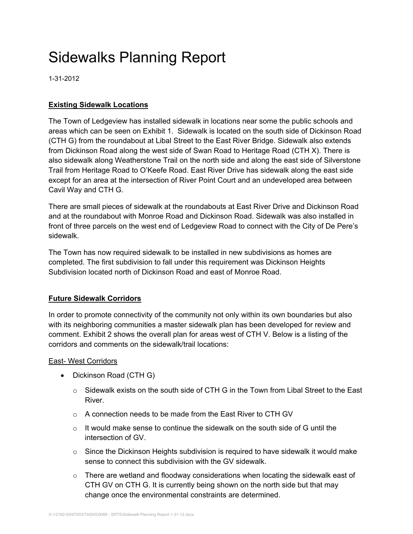# Sidewalks Planning Report

1-31-2012

# **Existing Sidewalk Locations**

The Town of Ledgeview has installed sidewalk in locations near some the public schools and areas which can be seen on Exhibit 1. Sidewalk is located on the south side of Dickinson Road (CTH G) from the roundabout at Libal Street to the East River Bridge. Sidewalk also extends from Dickinson Road along the west side of Swan Road to Heritage Road (CTH X). There is also sidewalk along Weatherstone Trail on the north side and along the east side of Silverstone Trail from Heritage Road to O'Keefe Road. East River Drive has sidewalk along the east side except for an area at the intersection of River Point Court and an undeveloped area between Cavil Way and CTH G.

There are small pieces of sidewalk at the roundabouts at East River Drive and Dickinson Road and at the roundabout with Monroe Road and Dickinson Road. Sidewalk was also installed in front of three parcels on the west end of Ledgeview Road to connect with the City of De Pere's sidewalk.

The Town has now required sidewalk to be installed in new subdivisions as homes are completed. The first subdivision to fall under this requirement was Dickinson Heights Subdivision located north of Dickinson Road and east of Monroe Road.

# **Future Sidewalk Corridors**

In order to promote connectivity of the community not only within its own boundaries but also with its neighboring communities a master sidewalk plan has been developed for review and comment. Exhibit 2 shows the overall plan for areas west of CTH V. Below is a listing of the corridors and comments on the sidewalk/trail locations:

# East- West Corridors

- Dickinson Road (CTH G)
	- o Sidewalk exists on the south side of CTH G in the Town from Libal Street to the East River.
	- o A connection needs to be made from the East River to CTH GV
	- $\circ$  It would make sense to continue the sidewalk on the south side of G until the intersection of GV.
	- $\circ$  Since the Dickinson Heights subdivision is required to have sidewalk it would make sense to connect this subdivision with the GV sidewalk.
	- $\circ$  There are wetland and floodway considerations when locating the sidewalk east of CTH GV on CTH G. It is currently being shown on the north side but that may change once the environmental constraints are determined.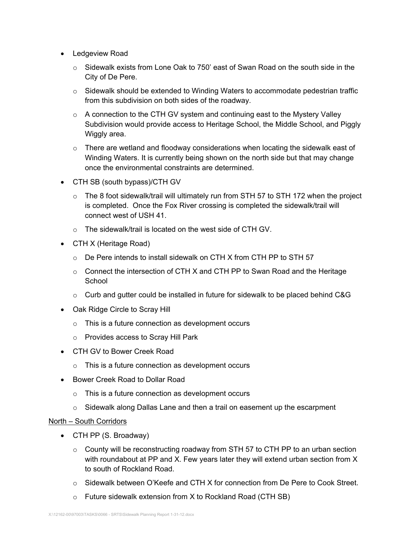- Ledgeview Road
	- $\circ$  Sidewalk exists from Lone Oak to 750' east of Swan Road on the south side in the City of De Pere.
	- o Sidewalk should be extended to Winding Waters to accommodate pedestrian traffic from this subdivision on both sides of the roadway.
	- o A connection to the CTH GV system and continuing east to the Mystery Valley Subdivision would provide access to Heritage School, the Middle School, and Piggly Wiggly area.
	- $\circ$  There are wetland and floodway considerations when locating the sidewalk east of Winding Waters. It is currently being shown on the north side but that may change once the environmental constraints are determined.
- CTH SB (south bypass)/CTH GV
	- $\circ$  The 8 foot sidewalk/trail will ultimately run from STH 57 to STH 172 when the project is completed. Once the Fox River crossing is completed the sidewalk/trail will connect west of USH 41.
	- o The sidewalk/trail is located on the west side of CTH GV.
- CTH X (Heritage Road)
	- o De Pere intends to install sidewalk on CTH X from CTH PP to STH 57
	- $\circ$  Connect the intersection of CTH X and CTH PP to Swan Road and the Heritage School
	- $\circ$  Curb and gutter could be installed in future for sidewalk to be placed behind C&G
- Oak Ridge Circle to Scray Hill
	- o This is a future connection as development occurs
	- o Provides access to Scray Hill Park
- CTH GV to Bower Creek Road
	- o This is a future connection as development occurs
- Bower Creek Road to Dollar Road
	- $\circ$  This is a future connection as development occurs
	- $\circ$  Sidewalk along Dallas Lane and then a trail on easement up the escarpment

#### North – South Corridors

- CTH PP (S. Broadway)
	- $\circ$  County will be reconstructing roadway from STH 57 to CTH PP to an urban section with roundabout at PP and X. Few years later they will extend urban section from X to south of Rockland Road.
	- o Sidewalk between O'Keefe and CTH X for connection from De Pere to Cook Street.
	- $\circ$  Future sidewalk extension from X to Rockland Road (CTH SB)